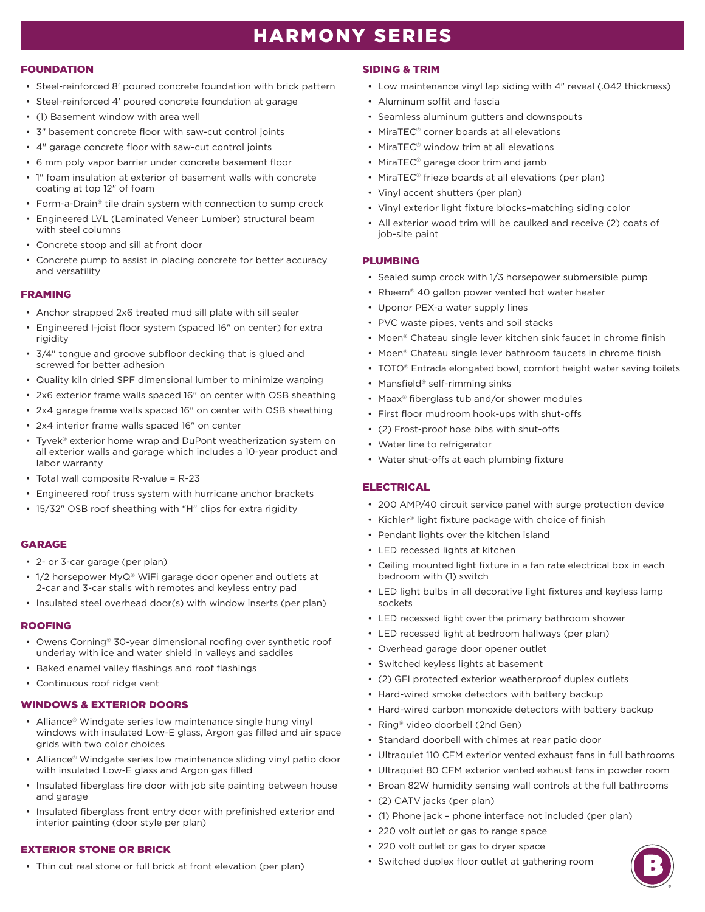# HARMONY SERIES

#### **FOUNDATION**

- Steel-reinforced 8' poured concrete foundation with brick pattern
- Steel-reinforced 4' poured concrete foundation at garage
- (1) Basement window with area well
- 3" basement concrete floor with saw-cut control joints
- 4" garage concrete floor with saw-cut control joints
- 6 mm poly vapor barrier under concrete basement floor
- 1" foam insulation at exterior of basement walls with concrete coating at top 12" of foam
- Form-a-Drain® tile drain system with connection to sump crock
- Engineered LVL (Laminated Veneer Lumber) structural beam with steel columns
- Concrete stoop and sill at front door
- Concrete pump to assist in placing concrete for better accuracy and versatility

## FRAMING

- Anchor strapped 2x6 treated mud sill plate with sill sealer
- Engineered I-joist floor system (spaced 16" on center) for extra rigidity
- 3/4" tongue and groove subfloor decking that is glued and screwed for better adhesion
- Quality kiln dried SPF dimensional lumber to minimize warping
- 2x6 exterior frame walls spaced 16" on center with OSB sheathing
- 2x4 garage frame walls spaced 16" on center with OSB sheathing
- 2x4 interior frame walls spaced 16" on center
- Tyvek® exterior home wrap and DuPont weatherization system on all exterior walls and garage which includes a 10-year product and labor warranty
- Total wall composite R-value = R-23
- Engineered roof truss system with hurricane anchor brackets
- 15/32" OSB roof sheathing with "H" clips for extra rigidity

## GARAGE

- 2- or 3-car garage (per plan)
- 1/2 horsepower MyQ® WiFi garage door opener and outlets at 2-car and 3-car stalls with remotes and keyless entry pad
- Insulated steel overhead door(s) with window inserts (per plan)

## ROOFING

- Owens Corning® 30-year dimensional roofing over synthetic roof underlay with ice and water shield in valleys and saddles
- Baked enamel valley flashings and roof flashings
- Continuous roof ridge vent

## WINDOWS & EXTERIOR DOORS

- Alliance® Windgate series low maintenance single hung vinyl windows with insulated Low-E glass, Argon gas filled and air space grids with two color choices
- Alliance® Windgate series low maintenance sliding vinyl patio door with insulated Low-E glass and Argon gas filled
- Insulated fiberglass fire door with job site painting between house and garage
- Insulated fiberglass front entry door with prefinished exterior and interior painting (door style per plan)

## EXTERIOR STONE OR BRICK

• Thin cut real stone or full brick at front elevation (per plan)

## SIDING & TRIM

- Low maintenance vinyl lap siding with 4" reveal (.042 thickness)
- Aluminum soffit and fascia
- Seamless aluminum gutters and downspouts
- MiraTEC® corner boards at all elevations
- MiraTEC® window trim at all elevations
- MiraTEC<sup>®</sup> garage door trim and jamb
- MiraTEC® frieze boards at all elevations (per plan)
- Vinyl accent shutters (per plan)
- Vinyl exterior light fixture blocks–matching siding color
- All exterior wood trim will be caulked and receive (2) coats of job-site paint

## PLUMBING

- Sealed sump crock with 1/3 horsepower submersible pump
- Rheem® 40 gallon power vented hot water heater
- Uponor PEX-a water supply lines
- PVC waste pipes, vents and soil stacks
- Moen® Chateau single lever kitchen sink faucet in chrome finish
- Moen® Chateau single lever bathroom faucets in chrome finish
- TOTO<sup>®</sup> Entrada elongated bowl, comfort height water saving toilets
- Mansfield® self-rimming sinks
- Maax® fiberglass tub and/or shower modules
- First floor mudroom hook-ups with shut-offs
- (2) Frost-proof hose bibs with shut-offs
- Water line to refrigerator
- Water shut-offs at each plumbing fixture

## **ELECTRICAL**

- 200 AMP/40 circuit service panel with surge protection device
- Kichler® light fixture package with choice of finish
- Pendant lights over the kitchen island
- LED recessed lights at kitchen
- Ceiling mounted light fixture in a fan rate electrical box in each bedroom with (1) switch
- LED light bulbs in all decorative light fixtures and keyless lamp sockets
- LED recessed light over the primary bathroom shower
- LED recessed light at bedroom hallways (per plan)
- Overhead garage door opener outlet
- Switched keyless lights at basement
- (2) GFI protected exterior weatherproof duplex outlets
- Hard-wired smoke detectors with battery backup
- Hard-wired carbon monoxide detectors with battery backup
- Ring® video doorbell (2nd Gen)
- Standard doorbell with chimes at rear patio door
- Ultraquiet 110 CFM exterior vented exhaust fans in full bathrooms
- Ultraquiet 80 CFM exterior vented exhaust fans in powder room
- Broan 82W humidity sensing wall controls at the full bathrooms
- (2) CATV jacks (per plan)
- (1) Phone jack phone interface not included (per plan)
- 220 volt outlet or gas to range space
- 220 volt outlet or gas to dryer space
- Switched duplex floor outlet at gathering room